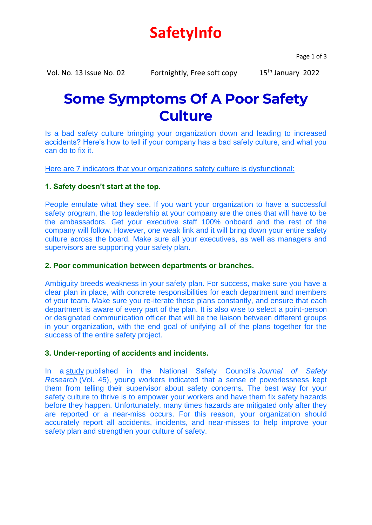# **SafetyInfo**

Page 1 of 3

Vol. No. 13 Issue No. 02 Fortnightly, Free soft copy 15<sup>th</sup> January 2022

## **Some Symptoms Of A Poor Safety Culture**

Is a bad safety culture bringing your organization down and leading to increased accidents? Here's how to tell if your company has a bad safety culture, and what you can do to fix it.

Here are 7 indicators that your organizations safety culture is dysfunctional:

## **1. Safety doesn't start at the top.**

People emulate what they see. If you want your organization to have a successful safety program, the top leadership at your company are the ones that will have to be the ambassadors. Get your executive staff 100% onboard and the rest of the company will follow. However, one weak link and it will bring down your entire safety culture across the board. Make sure all your executives, as well as managers and supervisors are supporting your safety plan.

## **2. Poor communication between departments or branches.**

Ambiguity breeds weakness in your safety plan. For success, make sure you have a clear plan in place, with concrete responsibilities for each department and members of your team. Make sure you re-iterate these plans constantly, and ensure that each department is aware of every part of the plan. It is also wise to select a point-person or designated communication officer that will be the liaison between different groups in your organization, with the end goal of unifying all of the plans together for the success of the entire safety project.

## **3. Under-reporting of accidents and incidents.**

In a [study](https://www.sciencedirect.com/science/article/pii/S0022437513000078) published in the National Safety Council's *Journal of Safety Research* (Vol. 45), young workers indicated that a sense of powerlessness kept them from telling their supervisor about safety concerns. The best way for your safety culture to thrive is to empower your workers and have them fix safety hazards before they happen. Unfortunately, many times hazards are mitigated only after they are reported or a near-miss occurs. For this reason, your organization should accurately report all accidents, incidents, and near-misses to help improve your safety plan and strengthen your culture of safety.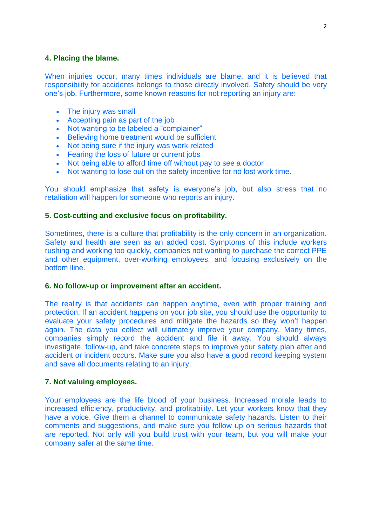### **4. Placing the blame.**

When injuries occur, many times individuals are blame, and it is believed that responsibility for accidents belongs to those directly involved. Safety should be very one's job. Furthermore, some known reasons for not reporting an injury are:

- The injury was small
- Accepting pain as part of the job
- Not wanting to be labeled a "complainer"
- Believing home treatment would be sufficient
- Not being sure if the injury was work-related
- Fearing the loss of future or current jobs
- Not being able to afford time off without pay to see a doctor
- Not wanting to lose out on the safety incentive for no lost work time.

You should emphasize that safety is everyone's job, but also stress that no retaliation will happen for someone who reports an injury.

### **5. Cost-cutting and exclusive focus on profitability.**

Sometimes, there is a culture that profitability is the only concern in an organization. Safety and health are seen as an added cost. Symptoms of this include workers rushing and working too quickly, companies not wanting to purchase the correct PPE and other equipment, over-working employees, and focusing exclusively on the bottom lline.

#### **6. No follow-up or improvement after an accident.**

The reality is that accidents can happen anytime, even with proper training and protection. If an accident happens on your job site, you should use the opportunity to evaluate your safety procedures and mitigate the hazards so they won't happen again. The data you collect will ultimately improve your company. Many times, companies simply record the accident and file it away. You should always investigate, follow-up, and take concrete steps to improve your safety plan after and accident or incident occurs. Make sure you also have a good record keeping system and save all documents relating to an injury.

#### **7. Not valuing employees.**

Your employees are the life blood of your business. Increased morale leads to increased efficiency, productivity, and profitability. Let your workers know that they have a voice. Give them a channel to communicate safety hazards. Listen to their comments and suggestions, and make sure you follow up on serious hazards that are reported. Not only will you build trust with your team, but you will make your company safer at the same time.